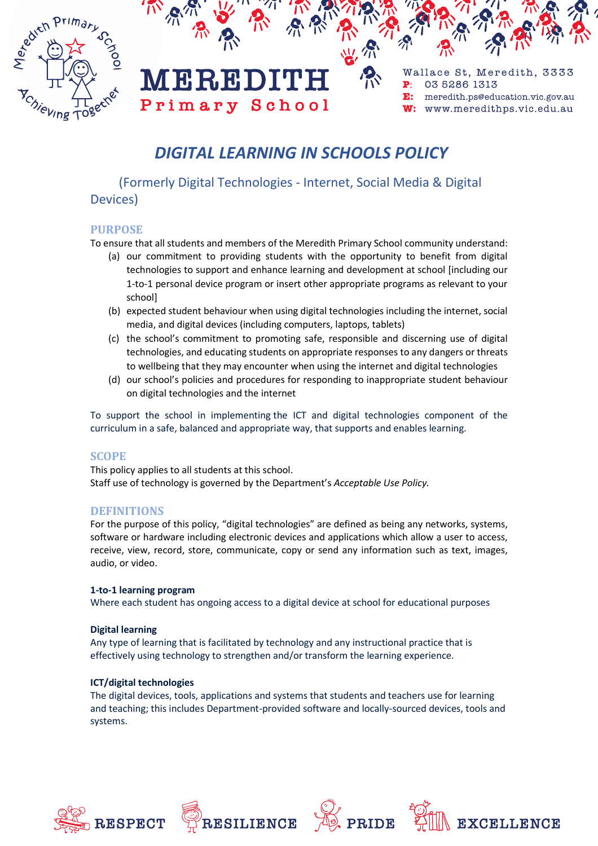



#### W: www.meredithps.vic.edu.au

# *DIGITAL LEARNING IN SCHOOLS POLICY*

 (Formerly Digital Technologies - Internet, Social Media & Digital Devices)

# **PURPOSE**

To ensure that all students and members of the Meredith Primary School community understand:

- (a) our commitment to providing students with the opportunity to benefit from digital technologies to support and enhance learning and development at school [including our 1-to-1 personal device program or insert other appropriate programs as relevant to your school]
- (b) expected student behaviour when using digital technologies including the internet, social media, and digital devices (including computers, laptops, tablets)
- (c) the school's commitment to promoting safe, responsible and discerning use of digital technologies, and educating students on appropriate responses to any dangers or threats to wellbeing that they may encounter when using the internet and digital technologies
- (d) our school's policies and procedures for responding to inappropriate student behaviour on digital technologies and the internet

To support the school in implementing the ICT and digital technologies component of the curriculum in a safe, balanced and appropriate way, that supports and enables learning.

# **SCOPE**

This policy applies to all students at this school. Staff use of technology is governed by the Department's *Acceptable Use Policy.*

# **DEFINITIONS**

For the purpose of this policy, "digital technologies" are defined as being any networks, systems, software or hardware including electronic devices and applications which allow a user to access, receive, view, record, store, communicate, copy or send any information such as text, images, audio, or video.

#### **1-to-1 learning program**

Where each student has ongoing access to a digital device at school for educational purposes

#### **Digital learning**

Any type of learning that is facilitated by technology and any instructional practice that is effectively using technology to strengthen and/or transform the learning experience.

#### **ICT/digital technologies**

The digital devices, tools, applications and systems that students and teachers use for learning and teaching; this includes Department-provided software and locally-sourced devices, tools and systems.









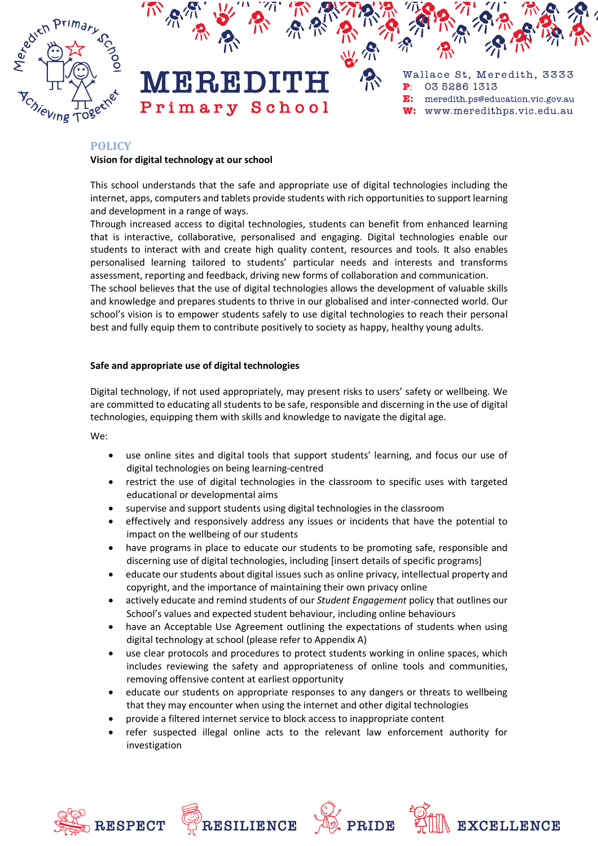

Wallace St, Meredith, 3333 03 5286 1313 meredith.ps@education.vic.gov.au E: www.meredithps.vic.edu.au  $W:$ 

# **POLICY**

#### **Vision for digital technology at our school**

This school understands that the safe and appropriate use of digital technologies including the internet, apps, computers and tablets provide students with rich opportunities to support learning and development in a range of ways.

 $\blacksquare$ 

Through increased access to digital technologies, students can benefit from enhanced learning that is interactive, collaborative, personalised and engaging. Digital technologies enable our students to interact with and create high quality content, resources and tools. It also enables personalised learning tailored to students' particular needs and interests and transforms assessment, reporting and feedback, driving new forms of collaboration and communication.

The school believes that the use of digital technologies allows the development of valuable skills and knowledge and prepares students to thrive in our globalised and inter-connected world. Our school's vision is to empower students safely to use digital technologies to reach their personal best and fully equip them to contribute positively to society as happy, healthy young adults.

### **Safe and appropriate use of digital technologies**

Digital technology, if not used appropriately, may present risks to users' safety or wellbeing. We are committed to educating all students to be safe, responsible and discerning in the use of digital technologies, equipping them with skills and knowledge to navigate the digital age.

We:

- use online sites and digital tools that support students' learning, and focus our use of digital technologies on being learning-centred
- restrict the use of digital technologies in the classroom to specific uses with targeted educational or developmental aims
- supervise and support students using digital technologies in the classroom
- effectively and responsively address any issues or incidents that have the potential to impact on the wellbeing of our students
- have programs in place to educate our students to be promoting safe, responsible and discerning use of digital technologies, including [insert details of specific programs]
- educate our students about digital issues such as online privacy, intellectual property and copyright, and the importance of maintaining their own privacy online
- actively educate and remind students of our *Student Engagement* policy that outlines our School's values and expected student behaviour, including online behaviours
- have an Acceptable Use Agreement outlining the expectations of students when using digital technology at school (please refer to Appendix A)
- use clear protocols and procedures to protect students working in online spaces, which includes reviewing the safety and appropriateness of online tools and communities, removing offensive content at earliest opportunity
- educate our students on appropriate responses to any dangers or threats to wellbeing that they may encounter when using the internet and other digital technologies
- provide a filtered internet service to block access to inappropriate content
- refer suspected illegal online acts to the relevant law enforcement authority for investigation







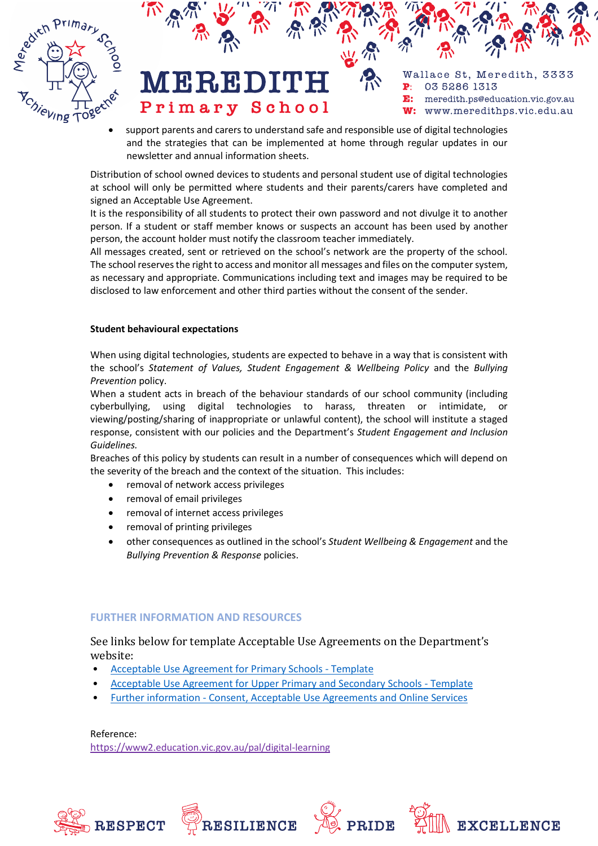



• support parents and carers to understand safe and responsible use of digital technologies and the strategies that can be implemented at home through regular updates in our newsletter and annual information sheets.

Distribution of school owned devices to students and personal student use of digital technologies at school will only be permitted where students and their parents/carers have completed and signed an Acceptable Use Agreement.

It is the responsibility of all students to protect their own password and not divulge it to another person. If a student or staff member knows or suspects an account has been used by another person, the account holder must notify the classroom teacher immediately.

All messages created, sent or retrieved on the school's network are the property of the school. The school reserves the right to access and monitor all messages and files on the computer system, as necessary and appropriate. Communications including text and images may be required to be disclosed to law enforcement and other third parties without the consent of the sender.

#### **Student behavioural expectations**

When using digital technologies, students are expected to behave in a way that is consistent with the school's *Statement of Values, Student Engagement & Wellbeing Policy* and the *Bullying Prevention* policy.

When a student acts in breach of the behaviour standards of our school community (including cyberbullying, using digital technologies to harass, threaten or intimidate, or viewing/posting/sharing of inappropriate or unlawful content), the school will institute a staged response, consistent with our policies and the Department's *Student Engagement and Inclusion Guidelines.*

Breaches of this policy by students can result in a number of consequences which will depend on the severity of the breach and the context of the situation. This includes:

- removal of network access privileges
- removal of email privileges
- removal of internet access privileges
- removal of printing privileges
- other consequences as outlined in the school's *Student Wellbeing & Engagement* and the *Bullying Prevention & Response* policies.

#### **FURTHER INFORMATION AND RESOURCES**

See links below for template Acceptable Use Agreements on the Department's website:

- [Acceptable Use Agreement for Primary Schools -](http://www.education.vic.gov.au/Documents/about/programs/bullystoppers/AUA%20Primary%20Final.docx) Template
- [Acceptable Use Agreement for Upper Primary and Secondary Schools -](http://www.education.vic.gov.au/Documents/about/programs/bullystoppers/AUA%20Secondary%20Final.docx) Template
- Further information [Consent, Acceptable Use Agreements and Online Services](http://www.education.vic.gov.au/about/programs/bullystoppers/Pages/lolconsent.aspx)

Reference: https://[www2.education.vic.gov.au/pal/digital-learning](https://www2.education.vic.gov.au/pal/digital-learning)





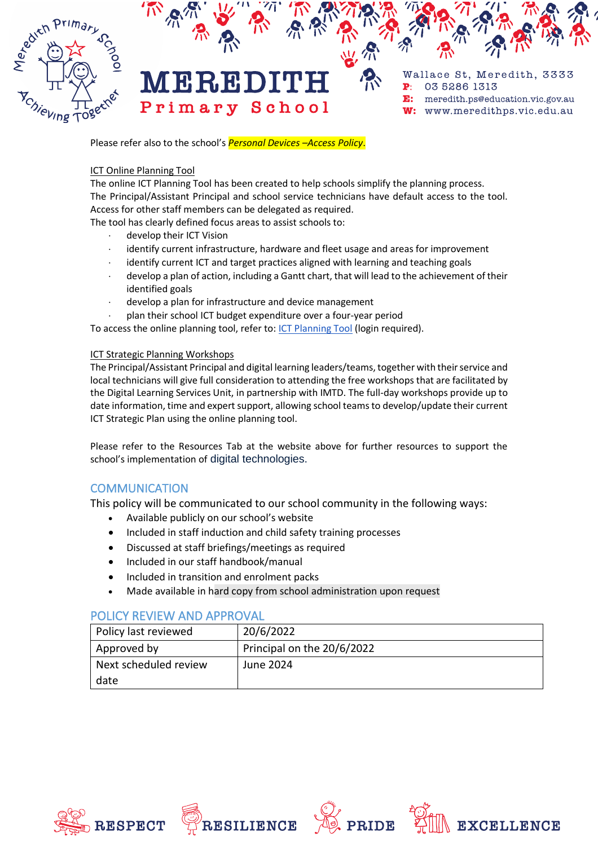

Please refer also to the school's *Personal Devices –Access Policy*.

#### ICT Online Planning Tool

The online ICT Planning Tool has been created to help schools simplify the planning process. The Principal/Assistant Principal and school service technicians have default access to the tool. Access for other staff members can be delegated as required.

The tool has clearly defined focus areas to assist schools to:

- develop their ICT Vision
- identify current infrastructure, hardware and fleet usage and areas for improvement
- identify current ICT and target practices aligned with learning and teaching goals
- develop a plan of action, including a Gantt chart, that will lead to the achievement of their identified goals
- develop a plan for infrastructure and device management
- plan their school ICT budget expenditure over a four-year period

To access the online planning tool, refer to: [ICT Planning](https://apps.edustar.vic.edu.au/prism/planning/default.aspx#/) Tool (login required).

#### ICT Strategic Planning Workshops

The Principal/Assistant Principal and digital learning leaders/teams, together with their service and local technicians will give full consideration to attending the free workshops that are facilitated by the Digital Learning Services Unit, in partnership with IMTD. The full-day workshops provide up to date information, time and expert support, allowing school teams to develop/update their current ICT Strategic Plan using the online planning tool.

Please refer to the Resources Tab at the website above for further resources to support the school's implementation of digital technologies.

# **COMMUNICATION**

This policy will be communicated to our school community in the following ways:

- Available publicly on our school's website
- Included in staff induction and child safety training processes
- Discussed at staff briefings/meetings as required
- Included in our staff handbook/manual
- Included in transition and enrolment packs
- Made available in hard copy from school administration upon request

# POLICY REVIEW AND APPROVAL

| Policy last reviewed  | 20/6/2022                  |
|-----------------------|----------------------------|
| Approved by           | Principal on the 20/6/2022 |
| Next scheduled review | June 2024                  |
| date                  |                            |